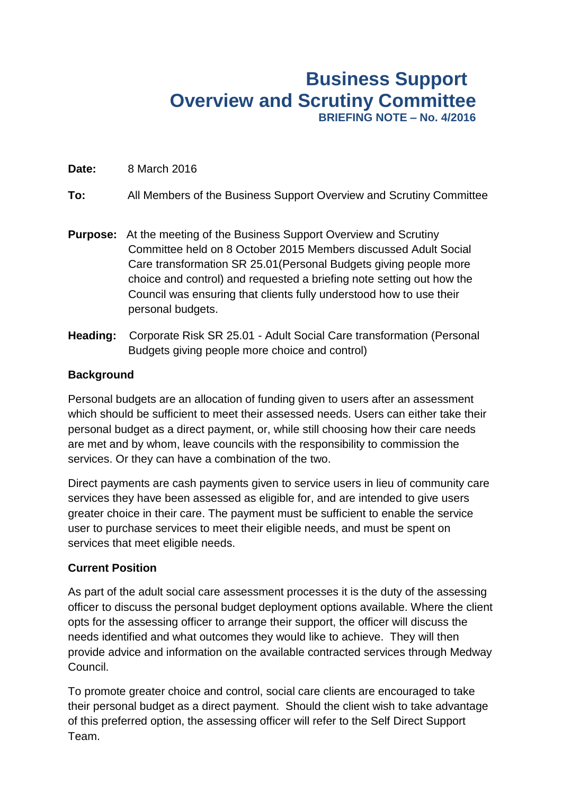# **Business Support Overview and Scrutiny Committee BRIEFING NOTE – No. 4/2016**

### **Date:** 8 March 2016

## **To:** All Members of the Business Support Overview and Scrutiny Committee

- **Purpose:** At the meeting of the Business Support Overview and Scrutiny Committee held on 8 October 2015 Members discussed Adult Social Care transformation SR 25.01(Personal Budgets giving people more choice and control) and requested a briefing note setting out how the Council was ensuring that clients fully understood how to use their personal budgets.
- **Heading:** Corporate Risk SR 25.01 Adult Social Care transformation (Personal Budgets giving people more choice and control)

## **Background**

Personal budgets are an allocation of funding given to users after an assessment which should be sufficient to meet their assessed needs. Users can either take their personal budget as a direct payment, or, while still choosing how their care needs are met and by whom, leave councils with the responsibility to commission the services. Or they can have a combination of the two.

Direct payments are cash payments given to service users in lieu of community care services they have been assessed as eligible for, and are intended to give users greater choice in their care. The payment must be sufficient to enable the service user to purchase services to meet their eligible needs, and must be spent on services that meet eligible needs.

#### **Current Position**

As part of the adult social care assessment processes it is the duty of the assessing officer to discuss the personal budget deployment options available. Where the client opts for the assessing officer to arrange their support, the officer will discuss the needs identified and what outcomes they would like to achieve. They will then provide advice and information on the available contracted services through Medway Council.

To promote greater choice and control, social care clients are encouraged to take their personal budget as a direct payment. Should the client wish to take advantage of this preferred option, the assessing officer will refer to the Self Direct Support Team.